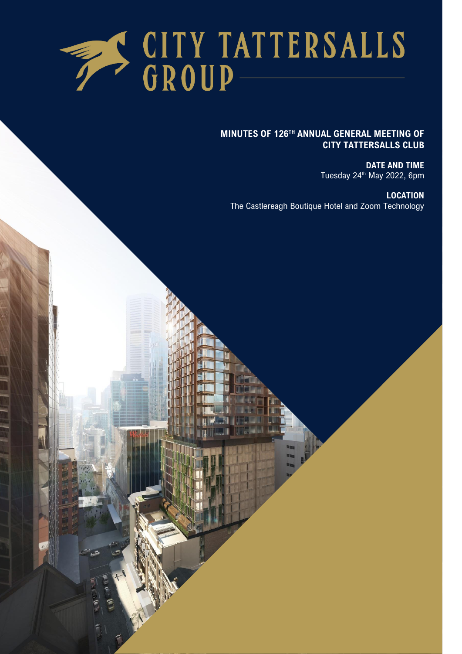

#### **MINUTES OF 126TH ANNUAL GENERAL MEETING OF CITY TATTERSALLS CLUB**

**DATE AND TIME** Tuesday 24<sup>th</sup> May 2022, 6pm

**LOCATION** The Castlereagh Boutique Hotel and Zoom Technology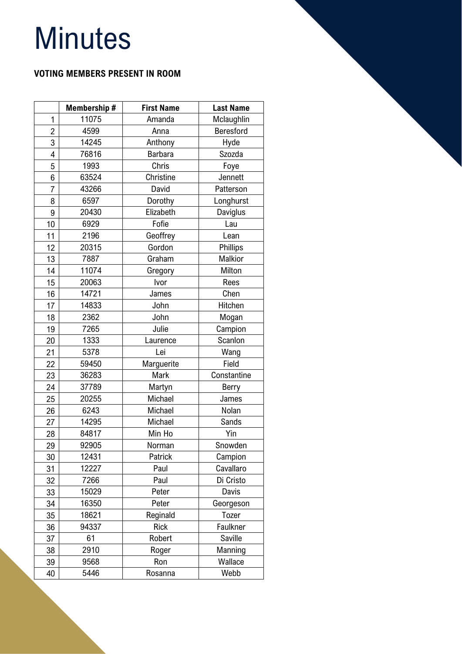# **Minutes**

# **VOTING MEMBERS PRESENT IN ROOM**

|                | Membership # | <b>First Name</b> | <b>Last Name</b> |
|----------------|--------------|-------------------|------------------|
| 1              | 11075        | Amanda            | Mclaughlin       |
| $\overline{2}$ | 4599         | Anna              | Beresford        |
| 3              | 14245        | Anthony           | Hyde             |
| 4              | 76816        | <b>Barbara</b>    | Szozda           |
| 5              | 1993         | Chris             | Foye             |
| 6              | 63524        | Christine         | Jennett          |
| 7              | 43266        | David             | Patterson        |
| 8              | 6597         | Dorothy           | Longhurst        |
| 9              | 20430        | Elizabeth         | Daviglus         |
| 10             | 6929         | Fofie             | Lau              |
| 11             | 2196         | Geoffrey          | Lean             |
| 12             | 20315        | Gordon            | Phillips         |
| 13             | 7887         | Graham            | Malkior          |
| 14             | 11074        | Gregory           | Milton           |
| 15             | 20063        | Ivor              | Rees             |
| 16             | 14721        | James             | Chen             |
| 17             | 14833        | John              | Hitchen          |
| 18             | 2362         | John              | Mogan            |
| 19             | 7265         | Julie             | Campion          |
| 20             | 1333         | Laurence          | Scanlon          |
| 21             | 5378         | Lei               | Wang             |
| 22             | 59450        | Marguerite        | Field            |
| 23             | 36283        | Mark              | Constantine      |
| 24             | 37789        | Martyn            | Berry            |
| 25             | 20255        | Michael           | James            |
| 26             | 6243         | Michael           | Nolan            |
| 27             | 14295        | Michael           | Sands            |
| 28             | 84817        | Min Ho            | Yin              |
| 29             | 92905        | Norman            | Snowden          |
| 30             | 12431        | Patrick           | Campion          |
| 31             | 12227        | Paul              | Cavallaro        |
| 32             | 7266         | Paul              | Di Cristo        |
| 33             | 15029        | Peter             | Davis            |
| 34             | 16350        | Peter             | Georgeson        |
| 35             | 18621        | Reginald          | Tozer            |
| 36             | 94337        | <b>Rick</b>       | Faulkner         |
| 37             | 61           | Robert            | Saville          |
| 38             | 2910         | Roger             | Manning          |
| 39             | 9568         | Ron               | Wallace          |
| 40             | 5446         | Rosanna           | Webb             |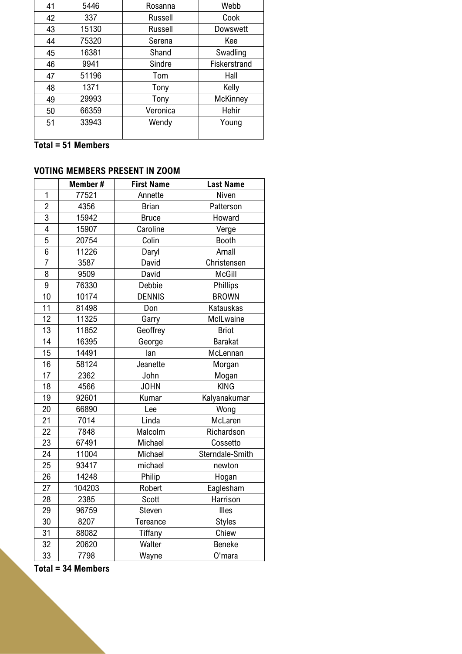| 41 | 5446  | Rosanna        | Webb         |
|----|-------|----------------|--------------|
| 42 | 337   | <b>Russell</b> | Cook         |
| 43 | 15130 | <b>Russell</b> | Dowswett     |
| 44 | 75320 | Serena         | Kee          |
| 45 | 16381 | Shand          | Swadling     |
| 46 | 9941  | Sindre         | Fiskerstrand |
| 47 | 51196 | Tom            | Hall         |
| 48 | 1371  | Tony           | Kelly        |
| 49 | 29993 | Tony           | McKinney     |
| 50 | 66359 | Veronica       | Hehir        |
| 51 | 33943 | Wendy          | Young        |
|    |       |                |              |

**Total = 51 Members** 

# **VOTING MEMBERS PRESENT IN ZOOM**

|                | Member# | <b>First Name</b> | <b>Last Name</b> |
|----------------|---------|-------------------|------------------|
| $\mathbf{1}$   | 77521   | Annette           | Niven            |
| $\overline{2}$ | 4356    | <b>Brian</b>      | Patterson        |
| $\overline{3}$ | 15942   | <b>Bruce</b>      | Howard           |
| $\overline{4}$ | 15907   | Caroline          | Verge            |
| 5              | 20754   | Colin             | <b>Booth</b>     |
| $\overline{6}$ | 11226   | Daryl             | Arnall           |
| $\overline{7}$ | 3587    | David             | Christensen      |
| 8              | 9509    | David             | <b>McGill</b>    |
| 9              | 76330   | Debbie            | Phillips         |
| 10             | 10174   | <b>DENNIS</b>     | <b>BROWN</b>     |
| 11             | 81498   | Don               | Katauskas        |
| 12             | 11325   | Garry             | McILwaine        |
| 13             | 11852   | Geoffrey          | <b>Briot</b>     |
| 14             | 16395   | George            | <b>Barakat</b>   |
| 15             | 14491   | lan               | McLennan         |
| 16             | 58124   | Jeanette          | Morgan           |
| 17             | 2362    | John              | Mogan            |
| 18             | 4566    | <b>JOHN</b>       | <b>KING</b>      |
| 19             | 92601   | Kumar             | Kalyanakumar     |
| 20             | 66890   | Lee               | Wong             |
| 21             | 7014    | Linda             | McLaren          |
| 22             | 7848    | Malcolm           | Richardson       |
| 23             | 67491   | Michael           | Cossetto         |
| 24             | 11004   | Michael           | Sterndale-Smith  |
| 25             | 93417   | michael           | newton           |
| 26             | 14248   | Philip            | Hogan            |
| 27             | 104203  | Robert            | Eaglesham        |
| 28             | 2385    | Scott             | Harrison         |
| 29             | 96759   | Steven            | Illes            |
| 30             | 8207    | Tereance          | <b>Styles</b>    |
| 31             | 88082   | <b>Tiffany</b>    | Chiew            |
| 32             | 20620   | Walter            | <b>Beneke</b>    |
| 33             | 7798    | Wayne             | O'mara           |

**Total = 34 Members**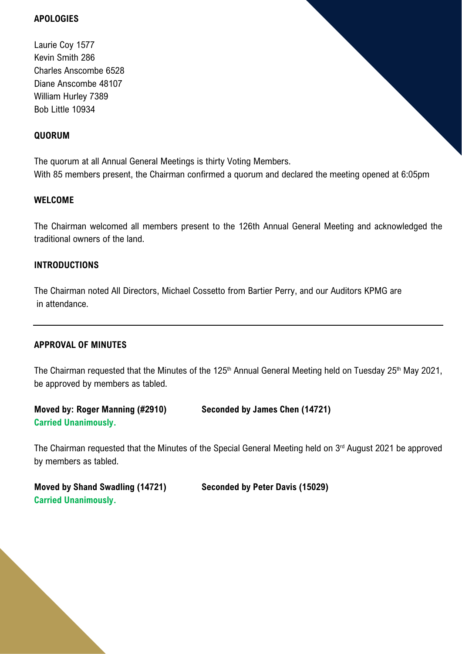#### **APOLOGIES**

Laurie Coy 1577 Kevin Smith 286 Charles Anscombe 6528 Diane Anscombe 48107 William Hurley 7389 Bob Little 10934

#### **QUORUM**

The quorum at all Annual General Meetings is thirty Voting Members. With 85 members present, the Chairman confirmed a quorum and declared the meeting opened at 6:05pm

#### **WELCOME**

The Chairman welcomed all members present to the 126th Annual General Meeting and acknowledged the traditional owners of the land.

#### **INTRODUCTIONS**

The Chairman noted All Directors, Michael Cossetto from Bartier Perry, and our Auditors KPMG are in attendance.

#### **APPROVAL OF MINUTES**

The Chairman requested that the Minutes of the 125<sup>th</sup> Annual General Meeting held on Tuesday 25<sup>th</sup> May 2021, be approved by members as tabled.

**Moved by: Roger Manning (#2910) Seconded by James Chen (14721) Carried Unanimously.**

The Chairman requested that the Minutes of the Special General Meeting held on 3<sup>rd</sup> August 2021 be approved by members as tabled.

**Moved by Shand Swadling (14721) Seconded by Peter Davis (15029) Carried Unanimously.**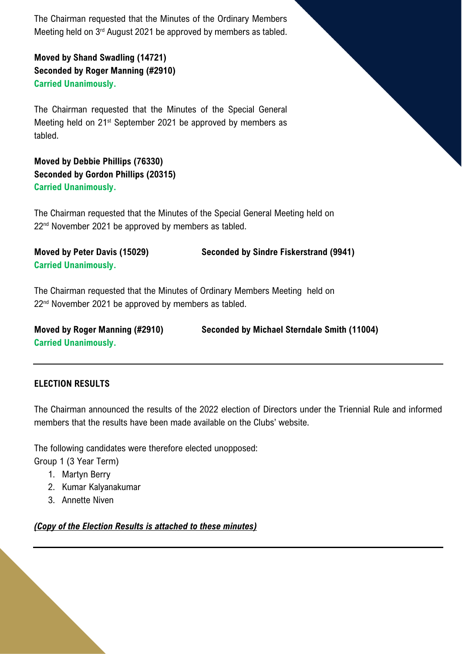The Chairman requested that the Minutes of the Ordinary Members Meeting held on 3<sup>rd</sup> August 2021 be approved by members as tabled.

**Moved by Shand Swadling (14721) Seconded by Roger Manning (#2910) Carried Unanimously.**

The Chairman requested that the Minutes of the Special General Meeting held on 21<sup>st</sup> September 2021 be approved by members as tabled.

**Moved by Debbie Phillips (76330) Seconded by Gordon Phillips (20315) Carried Unanimously.**

The Chairman requested that the Minutes of the Special General Meeting held on 22<sup>nd</sup> November 2021 be approved by members as tabled.

**Moved by Peter Davis (15029) Seconded by Sindre Fiskerstrand (9941) Carried Unanimously.**

The Chairman requested that the Minutes of Ordinary Members Meeting held on 22<sup>nd</sup> November 2021 be approved by members as tabled.

| Moved by Roger Manning (#2910) | Seconded by Michael Sterndale Smith (11004) |
|--------------------------------|---------------------------------------------|
| <b>Carried Unanimously.</b>    |                                             |

# **ELECTION RESULTS**

The Chairman announced the results of the 2022 election of Directors under the Triennial Rule and informed members that the results have been made available on the Clubs' website.

The following candidates were therefore elected unopposed:

Group 1 (3 Year Term)

- 1. Martyn Berry
- 2. Kumar Kalyanakumar
- 3. Annette Niven

*(Copy of the Election Results is attached to these minutes)*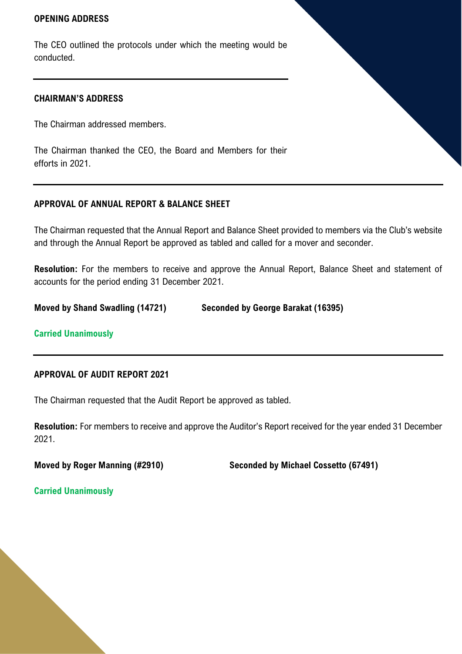#### **OPENING ADDRESS**

The CEO outlined the protocols under which the meeting would be conducted.

#### **CHAIRMAN'S ADDRESS**

The Chairman addressed members.

The Chairman thanked the CEO, the Board and Members for their efforts in 2021.

#### **APPROVAL OF ANNUAL REPORT & BALANCE SHEET**

The Chairman requested that the Annual Report and Balance Sheet provided to members via the Club's website and through the Annual Report be approved as tabled and called for a mover and seconder.

**Resolution:** For the members to receive and approve the Annual Report, Balance Sheet and statement of accounts for the period ending 31 December 2021.

**Moved by Shand Swadling (14721) Seconded by George Barakat (16395)**

#### **Carried Unanimously**

#### **APPROVAL OF AUDIT REPORT 2021**

The Chairman requested that the Audit Report be approved as tabled.

**Resolution:** For members to receive and approve the Auditor's Report received for the year ended 31 December 2021.

**Moved by Roger Manning (#2910) Seconded by Michael Cossetto (67491)**

**Carried Unanimously**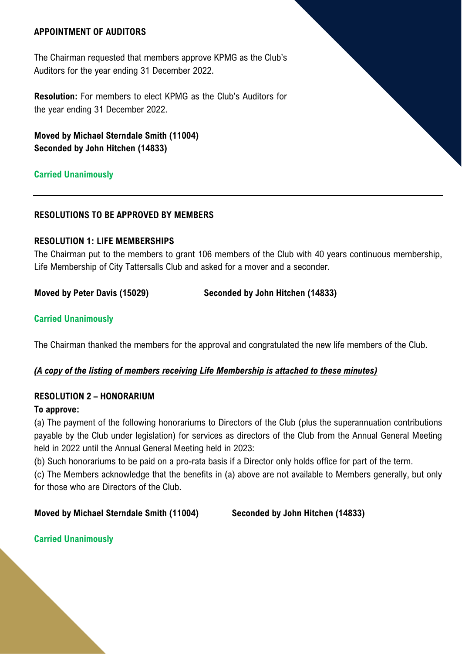#### **APPOINTMENT OF AUDITORS**

The Chairman requested that members approve KPMG as the Club's Auditors for the year ending 31 December 2022.

**Resolution:** For members to elect KPMG as the Club's Auditors for the year ending 31 December 2022.

**Moved by Michael Sterndale Smith (11004) Seconded by John Hitchen (14833)**

#### **Carried Unanimously**

#### **RESOLUTIONS TO BE APPROVED BY MEMBERS**

#### **RESOLUTION 1: LIFE MEMBERSHIPS**

The Chairman put to the members to grant 106 members of the Club with 40 years continuous membership, Life Membership of City Tattersalls Club and asked for a mover and a seconder.

**Moved by Peter Davis (15029) Seconded by John Hitchen (14833)**

#### **Carried Unanimously**

The Chairman thanked the members for the approval and congratulated the new life members of the Club.

#### *(A copy of the listing of members receiving Life Membership is attached to these minutes)*

#### **RESOLUTION 2 – HONORARIUM**

#### **To approve:**

(a) The payment of the following honorariums to Directors of the Club (plus the superannuation contributions payable by the Club under legislation) for services as directors of the Club from the Annual General Meeting held in 2022 until the Annual General Meeting held in 2023:

(b) Such honorariums to be paid on a pro-rata basis if a Director only holds office for part of the term.

(c) The Members acknowledge that the benefits in (a) above are not available to Members generally, but only for those who are Directors of the Club.

#### **Moved by Michael Sterndale Smith (11004) Seconded by John Hitchen (14833)**

#### **Carried Unanimously**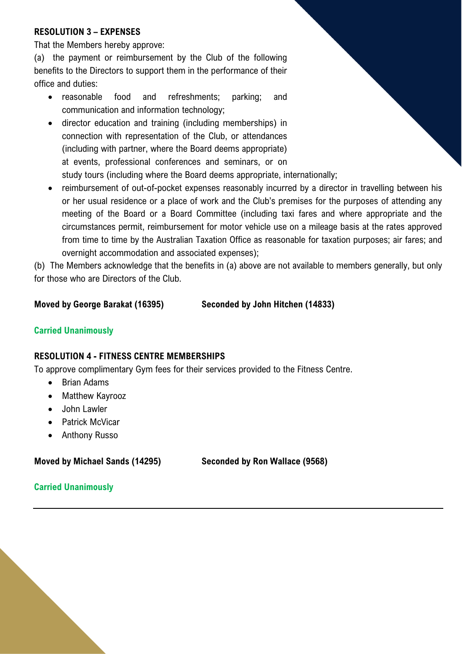# **RESOLUTION 3 – EXPENSES**

That the Members hereby approve:

(a) the payment or reimbursement by the Club of the following benefits to the Directors to support them in the performance of their office and duties:

- reasonable food and refreshments; parking; and communication and information technology;
- director education and training (including memberships) in connection with representation of the Club, or attendances (including with partner, where the Board deems appropriate) at events, professional conferences and seminars, or on study tours (including where the Board deems appropriate, internationally;
- reimbursement of out-of-pocket expenses reasonably incurred by a director in travelling between his or her usual residence or a place of work and the Club's premises for the purposes of attending any meeting of the Board or a Board Committee (including taxi fares and where appropriate and the circumstances permit, reimbursement for motor vehicle use on a mileage basis at the rates approved from time to time by the Australian Taxation Office as reasonable for taxation purposes; air fares; and overnight accommodation and associated expenses);

(b) The Members acknowledge that the benefits in (a) above are not available to members generally, but only for those who are Directors of the Club.

#### **Moved by George Barakat (16395) Seconded by John Hitchen (14833)**

# **Carried Unanimously**

# **RESOLUTION 4 - FITNESS CENTRE MEMBERSHIPS**

To approve complimentary Gym fees for their services provided to the Fitness Centre.

- Brian Adams
- Matthew Kayrooz
- John Lawler
- Patrick McVicar
- Anthony Russo

**Moved by Michael Sands (14295) Seconded by Ron Wallace (9568)**

**Carried Unanimously**